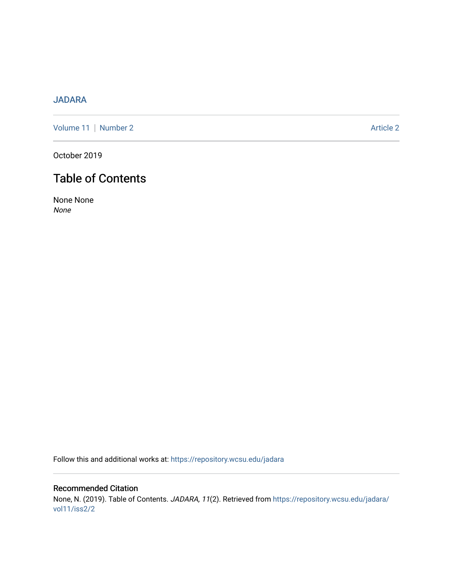# [JADARA](https://repository.wcsu.edu/jadara)

[Volume 11](https://repository.wcsu.edu/jadara/vol11) | [Number 2](https://repository.wcsu.edu/jadara/vol11/iss2) Article 2

October 2019

# Table of Contents

None None None

Follow this and additional works at: [https://repository.wcsu.edu/jadara](https://repository.wcsu.edu/jadara?utm_source=repository.wcsu.edu%2Fjadara%2Fvol11%2Fiss2%2F2&utm_medium=PDF&utm_campaign=PDFCoverPages)

Recommended Citation None, N. (2019). Table of Contents. JADARA, 11(2). Retrieved from [https://repository.wcsu.edu/jadara/](https://repository.wcsu.edu/jadara/vol11/iss2/2?utm_source=repository.wcsu.edu%2Fjadara%2Fvol11%2Fiss2%2F2&utm_medium=PDF&utm_campaign=PDFCoverPages) [vol11/iss2/2](https://repository.wcsu.edu/jadara/vol11/iss2/2?utm_source=repository.wcsu.edu%2Fjadara%2Fvol11%2Fiss2%2F2&utm_medium=PDF&utm_campaign=PDFCoverPages)